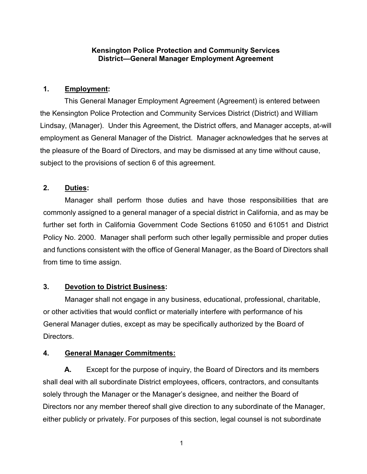### **Kensington Police Protection and Community Services District—General Manager Employment Agreement**

## **1. Employment:**

This General Manager Employment Agreement (Agreement) is entered between the Kensington Police Protection and Community Services District (District) and William Lindsay, (Manager). Under this Agreement, the District offers, and Manager accepts, at-will employment as General Manager of the District. Manager acknowledges that he serves at the pleasure of the Board of Directors, and may be dismissed at any time without cause, subject to the provisions of section 6 of this agreement.

### **2. Duties:**

Manager shall perform those duties and have those responsibilities that are commonly assigned to a general manager of a special district in California, and as may be further set forth in California Government Code Sections 61050 and 61051 and District Policy No. 2000. Manager shall perform such other legally permissible and proper duties and functions consistent with the office of General Manager, as the Board of Directors shall from time to time assign.

#### **3. Devotion to District Business:**

Manager shall not engage in any business, educational, professional, charitable, or other activities that would conflict or materially interfere with performance of his General Manager duties, except as may be specifically authorized by the Board of Directors.

#### **4. General Manager Commitments:**

**A.** Except for the purpose of inquiry, the Board of Directors and its members shall deal with all subordinate District employees, officers, contractors, and consultants solely through the Manager or the Manager's designee, and neither the Board of Directors nor any member thereof shall give direction to any subordinate of the Manager, either publicly or privately. For purposes of this section, legal counsel is not subordinate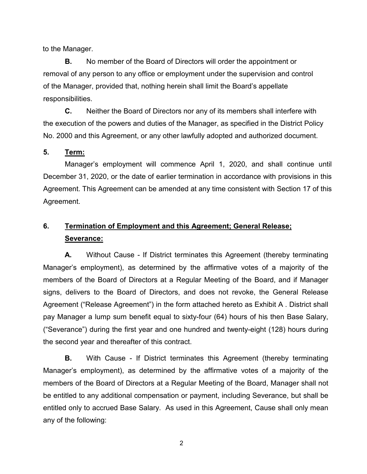to the Manager.

**B.** No member of the Board of Directors will order the appointment or removal of any person to any office or employment under the supervision and control of the Manager, provided that, nothing herein shall limit the Board's appellate responsibilities.

**C.** Neither the Board of Directors nor any of its members shall interfere with the execution of the powers and duties of the Manager, as specified in the District Policy No. 2000 and this Agreement, or any other lawfully adopted and authorized document.

#### **5. Term:**

Manager's employment will commence April 1, 2020, and shall continue until December 31, 2020, or the date of earlier termination in accordance with provisions in this Agreement. This Agreement can be amended at any time consistent with Section 17 of this Agreement.

# **6. Termination of Employment and this Agreement; General Release; Severance:**

**A.** Without Cause - If District terminates this Agreement (thereby terminating Manager's employment), as determined by the affirmative votes of a majority of the members of the Board of Directors at a Regular Meeting of the Board, and if Manager signs, delivers to the Board of Directors, and does not revoke, the General Release Agreement ("Release Agreement") in the form attached hereto as Exhibit A . District shall pay Manager a lump sum benefit equal to sixty-four (64) hours of his then Base Salary, ("Severance") during the first year and one hundred and twenty-eight (128) hours during the second year and thereafter of this contract.

**B.** With Cause - If District terminates this Agreement (thereby terminating Manager's employment), as determined by the affirmative votes of a majority of the members of the Board of Directors at a Regular Meeting of the Board, Manager shall not be entitled to any additional compensation or payment, including Severance, but shall be entitled only to accrued Base Salary. As used in this Agreement, Cause shall only mean any of the following: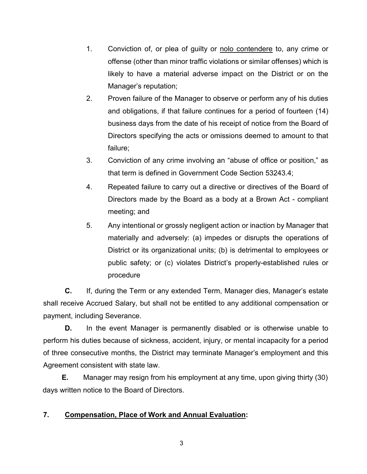- 1. Conviction of, or plea of guilty or nolo contendere to, any crime or offense (other than minor traffic violations or similar offenses) which is likely to have a material adverse impact on the District or on the Manager's reputation;
- 2. Proven failure of the Manager to observe or perform any of his duties and obligations, if that failure continues for a period of fourteen (14) business days from the date of his receipt of notice from the Board of Directors specifying the acts or omissions deemed to amount to that failure;
- 3. Conviction of any crime involving an "abuse of office or position," as that term is defined in Government Code Section 53243.4;
- 4. Repeated failure to carry out a directive or directives of the Board of Directors made by the Board as a body at a Brown Act - compliant meeting; and
- 5. Any intentional or grossly negligent action or inaction by Manager that materially and adversely: (a) impedes or disrupts the operations of District or its organizational units; (b) is detrimental to employees or public safety; or (c) violates District's properly-established rules or procedure

**C.** If, during the Term or any extended Term, Manager dies, Manager's estate shall receive Accrued Salary, but shall not be entitled to any additional compensation or payment, including Severance.

**D.** In the event Manager is permanently disabled or is otherwise unable to perform his duties because of sickness, accident, injury, or mental incapacity for a period of three consecutive months, the District may terminate Manager's employment and this Agreement consistent with state law.

**E.** Manager may resign from his employment at any time, upon giving thirty (30) days written notice to the Board of Directors.

## **7. Compensation, Place of Work and Annual Evaluation:**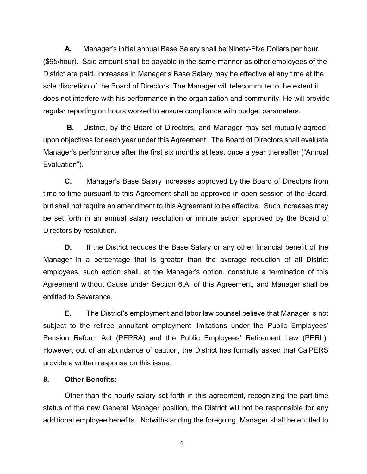**A.** Manager's initial annual Base Salary shall be Ninety-Five Dollars per hour (\$95/hour). Said amount shall be payable in the same manner as other employees of the District are paid. Increases in Manager's Base Salary may be effective at any time at the sole discretion of the Board of Directors. The Manager will telecommute to the extent it does not interfere with his performance in the organization and community. He will provide regular reporting on hours worked to ensure compliance with budget parameters.

**B.** District, by the Board of Directors, and Manager may set mutually-agreedupon objectives for each year under this Agreement. The Board of Directors shall evaluate Manager's performance after the first six months at least once a year thereafter ("Annual Evaluation").

**C.** Manager's Base Salary increases approved by the Board of Directors from time to time pursuant to this Agreement shall be approved in open session of the Board, but shall not require an amendment to this Agreement to be effective. Such increases may be set forth in an annual salary resolution or minute action approved by the Board of Directors by resolution.

**D.** If the District reduces the Base Salary or any other financial benefit of the Manager in a percentage that is greater than the average reduction of all District employees, such action shall, at the Manager's option, constitute a termination of this Agreement without Cause under Section 6.A. of this Agreement, and Manager shall be entitled to Severance.

**E.** The District's employment and labor law counsel believe that Manager is not subject to the retiree annuitant employment limitations under the Public Employees' Pension Reform Act (PEPRA) and the Public Employees' Retirement Law (PERL). However, out of an abundance of caution, the District has formally asked that CalPERS provide a written response on this issue.

#### **8. Other Benefits:**

Other than the hourly salary set forth in this agreement, recognizing the part-time status of the new General Manager position, the District will not be responsible for any additional employee benefits. Notwithstanding the foregoing, Manager shall be entitled to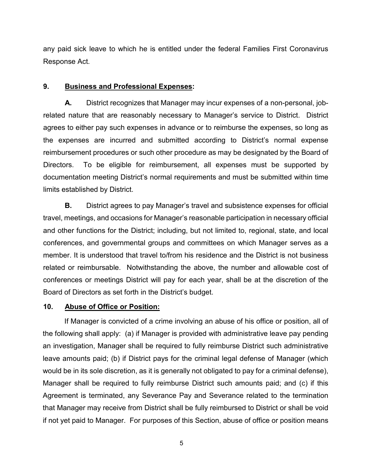any paid sick leave to which he is entitled under the federal Families First Coronavirus Response Act.

#### **9. Business and Professional Expenses:**

**A.** District recognizes that Manager may incur expenses of a non-personal, jobrelated nature that are reasonably necessary to Manager's service to District. District agrees to either pay such expenses in advance or to reimburse the expenses, so long as the expenses are incurred and submitted according to District's normal expense reimbursement procedures or such other procedure as may be designated by the Board of Directors. To be eligible for reimbursement, all expenses must be supported by documentation meeting District's normal requirements and must be submitted within time limits established by District.

**B.** District agrees to pay Manager's travel and subsistence expenses for official travel, meetings, and occasions for Manager's reasonable participation in necessary official and other functions for the District; including, but not limited to, regional, state, and local conferences, and governmental groups and committees on which Manager serves as a member. It is understood that travel to/from his residence and the District is not business related or reimbursable. Notwithstanding the above, the number and allowable cost of conferences or meetings District will pay for each year, shall be at the discretion of the Board of Directors as set forth in the District's budget.

#### **10. Abuse of Office or Position:**

If Manager is convicted of a crime involving an abuse of his office or position, all of the following shall apply: (a) if Manager is provided with administrative leave pay pending an investigation, Manager shall be required to fully reimburse District such administrative leave amounts paid; (b) if District pays for the criminal legal defense of Manager (which would be in its sole discretion, as it is generally not obligated to pay for a criminal defense), Manager shall be required to fully reimburse District such amounts paid; and (c) if this Agreement is terminated, any Severance Pay and Severance related to the termination that Manager may receive from District shall be fully reimbursed to District or shall be void if not yet paid to Manager. For purposes of this Section, abuse of office or position means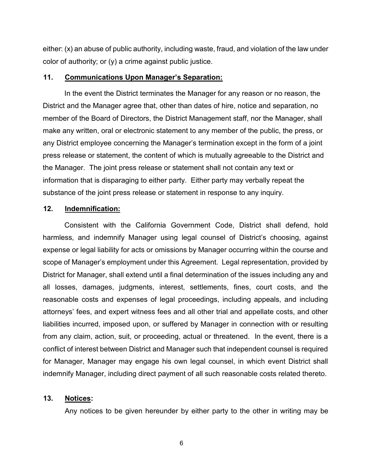either: (x) an abuse of public authority, including waste, fraud, and violation of the law under color of authority; or (y) a crime against public justice.

#### **11. Communications Upon Manager's Separation:**

In the event the District terminates the Manager for any reason or no reason, the District and the Manager agree that, other than dates of hire, notice and separation, no member of the Board of Directors, the District Management staff, nor the Manager, shall make any written, oral or electronic statement to any member of the public, the press, or any District employee concerning the Manager's termination except in the form of a joint press release or statement, the content of which is mutually agreeable to the District and the Manager. The joint press release or statement shall not contain any text or information that is disparaging to either party. Either party may verbally repeat the substance of the joint press release or statement in response to any inquiry.

#### **12. Indemnification:**

Consistent with the California Government Code, District shall defend, hold harmless, and indemnify Manager using legal counsel of District's choosing, against expense or legal liability for acts or omissions by Manager occurring within the course and scope of Manager's employment under this Agreement. Legal representation, provided by District for Manager, shall extend until a final determination of the issues including any and all losses, damages, judgments, interest, settlements, fines, court costs, and the reasonable costs and expenses of legal proceedings, including appeals, and including attorneys' fees, and expert witness fees and all other trial and appellate costs, and other liabilities incurred, imposed upon, or suffered by Manager in connection with or resulting from any claim, action, suit, or proceeding, actual or threatened. In the event, there is a conflict of interest between District and Manager such that independent counsel is required for Manager, Manager may engage his own legal counsel, in which event District shall indemnify Manager, including direct payment of all such reasonable costs related thereto.

#### **13. Notices:**

Any notices to be given hereunder by either party to the other in writing may be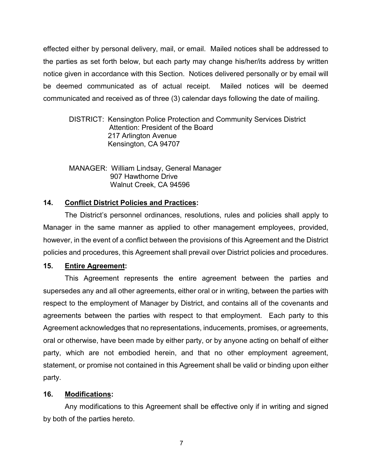effected either by personal delivery, mail, or email. Mailed notices shall be addressed to the parties as set forth below, but each party may change his/her/its address by written notice given in accordance with this Section. Notices delivered personally or by email will be deemed communicated as of actual receipt. Mailed notices will be deemed communicated and received as of three (3) calendar days following the date of mailing.

#### DISTRICT: Kensington Police Protection and Community Services District Attention: President of the Board 217 Arlington Avenue Kensington, CA 94707

#### MANAGER: William Lindsay, General Manager 907 Hawthorne Drive Walnut Creek, CA 94596

#### **14. Conflict District Policies and Practices:**

The District's personnel ordinances, resolutions, rules and policies shall apply to Manager in the same manner as applied to other management employees, provided, however, in the event of a conflict between the provisions of this Agreement and the District policies and procedures, this Agreement shall prevail over District policies and procedures.

#### **15. Entire Agreement:**

This Agreement represents the entire agreement between the parties and supersedes any and all other agreements, either oral or in writing, between the parties with respect to the employment of Manager by District, and contains all of the covenants and agreements between the parties with respect to that employment. Each party to this Agreement acknowledges that no representations, inducements, promises, or agreements, oral or otherwise, have been made by either party, or by anyone acting on behalf of either party, which are not embodied herein, and that no other employment agreement, statement, or promise not contained in this Agreement shall be valid or binding upon either party.

#### **16. Modifications:**

Any modifications to this Agreement shall be effective only if in writing and signed by both of the parties hereto.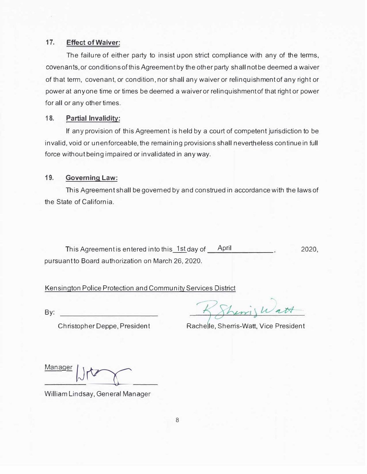#### **17. Effect of Waiver:**

The failure of either party to insist upon strict compliance with any of the terms, covenants.or conditionsofthisAgreement by the other party shall not be deemed a waiver of that term, covenant, or condition, nor shall any waiver or relinquishment of any right or power at anyone time or times be deemed a waiver or relinquishmentof that right or power for all or any other times.

#### **18. Partial Invalidity:**

If any provision of this Agreement is held by a court of competent jurisdiction to be invalid, void or unenforceable, the remaining provisions shall nevertheless continue in full force without being impaired or invalidated in anyway.

#### **19. Governing Law:**

This Agreement shall be governed by and construed in accordance with the laws of the State of California.

This Agreement is entered into this  $1st$  day of  $April$ , 2020, pursuant to Board authorization on March 26, 2020.

#### Kensington Police Protection and Community Services District

By:

herris Watt

Christopher Deppe, President Rachelle, Sherris-Watt, Vice President

**Manager | | <del>|</del>** 

William Lindsay, General Manager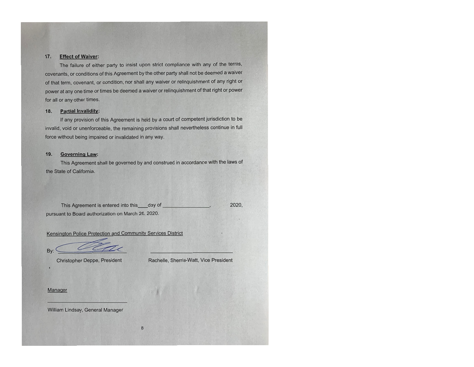#### **Effect of Waiver:**  $17.$

The failure of either party to insist upon strict compliance with any of the terms, covenants, or conditions of this Agreement by the other party shall not be deemed a waiver of that term, covenant, or condition, nor shall any waiver or relinguishment of any right or power at any one time or times be deemed a waiver or relinquishment of that right or power for all or any other times.

#### 18. **Partial Invalidity:**

If any provision of this Agreement is held by a court of competent jurisdiction to be invalid, void or unenforceable, the remaining provisions shall nevertheless continue in full force without being impaired or invalidated in any way.

#### $19.$ **Governing Law:**

This Agreement shall be governed by and construed in accordance with the laws of the State of California.

This Agreement is entered into this day of 2020. pursuant to Board authorization on March 26, 2020.

Kensington Police Protection and Community Services District

 $Bv$ <sup> $\cdot$ </sup>

**Christopher Deppe, President** 

Rachelle, Sherris-Watt, Vice President

#### Manager

William Lindsay, General Manager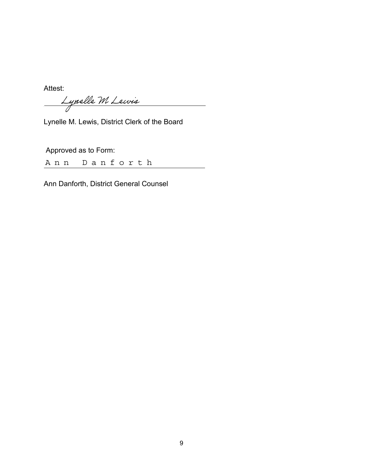Attest:<br><u>Lynelle M Lewis</u>  $\overline{\phantom{a}}$ 

Lynelle M. Lewis, District Clerk of the Board

Approved as to Form:

Ann Danforth

Ann Danforth, District General Counsel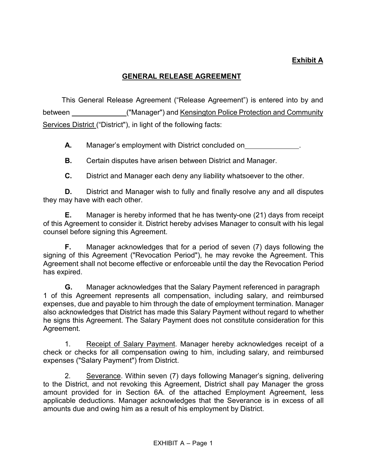## **Exhibit A**

## **GENERAL RELEASE AGREEMENT**

This General Release Agreement ("Release Agreement") is entered into by and between ("Manager") and Kensington Police Protection and Community Services District ("District"), in light of the following facts:

**A.** Manager's employment with District concluded on .

**B.** Certain disputes have arisen between District and Manager.

**C.** District and Manager each deny any liability whatsoever to the other.

**D.** District and Manager wish to fully and finally resolve any and all disputes they may have with each other.

**E.** Manager is hereby informed that he has twenty-one (21) days from receipt of this Agreement to consider it. District hereby advises Manager to consult with his legal counsel before signing this Agreement.

**F.** Manager acknowledges that for a period of seven (7) days following the signing of this Agreement ("Revocation Period"), he may revoke the Agreement. This Agreement shall not become effective or enforceable until the day the Revocation Period has expired.

**G.** Manager acknowledges that the Salary Payment referenced in paragraph 1 of this Agreement represents all compensation, including salary, and reimbursed expenses, due and payable to him through the date of employment termination. Manager also acknowledges that District has made this Salary Payment without regard to whether he signs this Agreement. The Salary Payment does not constitute consideration for this Agreement.

1. Receipt of Salary Payment. Manager hereby acknowledges receipt of a check or checks for all compensation owing to him, including salary, and reimbursed expenses ("Salary Payment") from District.

2. Severance. Within seven (7) days following Manager's signing, delivering to the District, and not revoking this Agreement, District shall pay Manager the gross amount provided for in Section 6A. of the attached Employment Agreement, less applicable deductions. Manager acknowledges that the Severance is in excess of all amounts due and owing him as a result of his employment by District.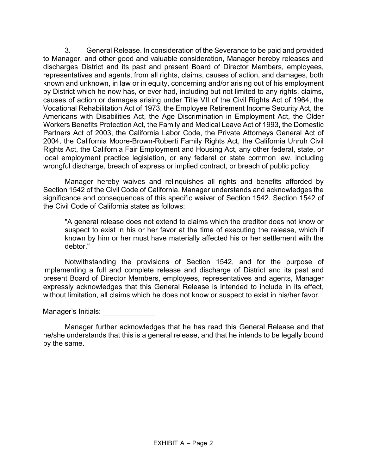3. General Release. In consideration of the Severance to be paid and provided to Manager, and other good and valuable consideration, Manager hereby releases and discharges District and its past and present Board of Director Members, employees, representatives and agents, from all rights, claims, causes of action, and damages, both known and unknown, in law or in equity, concerning and/or arising out of his employment by District which he now has, or ever had, including but not limited to any rights, claims, causes of action or damages arising under Title VII of the Civil Rights Act of 1964, the Vocational Rehabilitation Act of 1973, the Employee Retirement Income Security Act, the Americans with Disabilities Act, the Age Discrimination in Employment Act, the Older Workers Benefits Protection Act, the Family and Medical Leave Act of 1993, the Domestic Partners Act of 2003, the California Labor Code, the Private Attorneys General Act of 2004, the California Moore-Brown-Roberti Family Rights Act, the California Unruh Civil Rights Act, the California Fair Employment and Housing Act, any other federal, state, or local employment practice legislation, or any federal or state common law, including wrongful discharge, breach of express or implied contract, or breach of public policy.

Manager hereby waives and relinquishes all rights and benefits afforded by Section 1542 of the Civil Code of California. Manager understands and acknowledges the significance and consequences of this specific waiver of Section 1542. Section 1542 of the Civil Code of California states as follows:

"A general release does not extend to claims which the creditor does not know or suspect to exist in his or her favor at the time of executing the release, which if known by him or her must have materially affected his or her settlement with the debtor."

Notwithstanding the provisions of Section 1542, and for the purpose of implementing a full and complete release and discharge of District and its past and present Board of Director Members, employees, representatives and agents, Manager expressly acknowledges that this General Release is intended to include in its effect, without limitation, all claims which he does not know or suspect to exist in his/her favor.

Manager's Initials: \_\_\_\_\_\_\_\_\_\_\_\_\_

Manager further acknowledges that he has read this General Release and that he/she understands that this is a general release, and that he intends to be legally bound by the same.